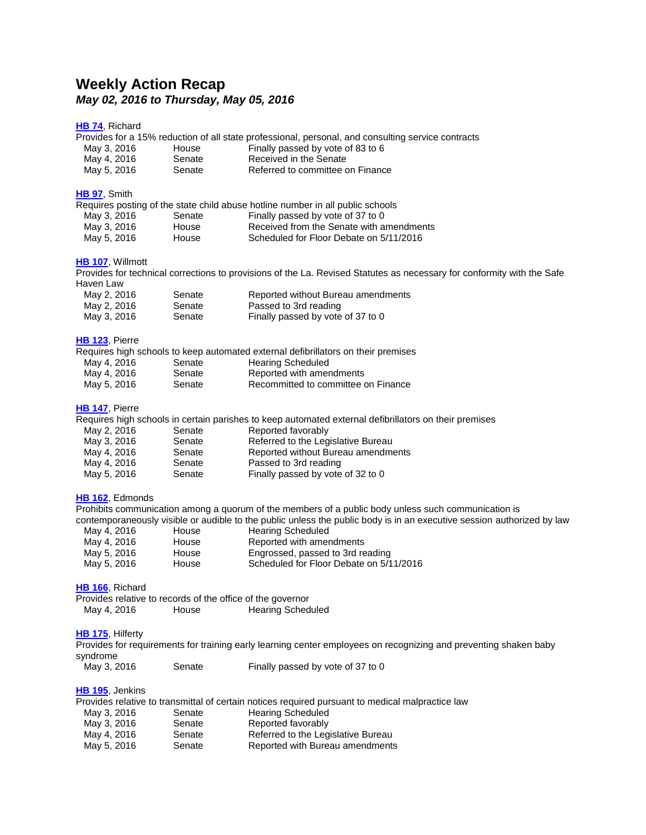# **Weekly Action Recap** *May 02, 2016 to Thursday, May 05, 2016*

#### **[HB](http://lanb.me/inst/2016rs/hb/00/16rs-hb74_engrossed.pdf) 74**, Richard

|                 |        | Provides for a 15% reduction of all state professional, personal, and consulting service contracts |
|-----------------|--------|----------------------------------------------------------------------------------------------------|
| $M_{01}$ $2.20$ | ممبيطا | $\Gamma$ ingl $\mu$ nooned buy usto of 02.19 $\Gamma$                                              |

- May 3, 2016 House Finally passed by vote of 83 to 6 May 4, 2016 Senate Received in the Senate
- May 5, 2016 Senate Referred to committee on Finance

#### **[HB](http://lanb.me/inst/2016rs/hb/00/16rs-hb97_engrossed.pdf) 97**, Smith Requires posting of the state child abuse hotline number in all public schools May 3, 2016 Senate Finally passed by vote of 37 to 0<br>May 3, 2016 House Received from the Senate with a May 3, 2016 House Received from the Senate with amendments<br>May 5, 2016 House Scheduled for Floor Debate on 5/11/2016 Scheduled for Floor Debate on 5/11/2016

#### **HB [107](http://lanb.me/inst/2016rs/hb/01/16rs-hb107_enrolled.pdf)**, Willmott

Provides for technical corrections to provisions of the La. Revised Statutes as necessary for conformity with the Safe Haven Law

| May 2, 2016 | Senate | Reported without Bureau amendments |
|-------------|--------|------------------------------------|
| May 2, 2016 | Senate | Passed to 3rd reading              |
| May 3, 2016 | Senate | Finally passed by vote of 37 to 0  |

#### **HB [123](http://lanb.me/inst/2016rs/hb/01/16rs-hb123_engrossed.pdf)**, Pierre

|             |        | Requires high schools to keep automated external defibrillators on their premises |
|-------------|--------|-----------------------------------------------------------------------------------|
| May 4, 2016 | Senate | <b>Hearing Scheduled</b>                                                          |
| May 4, 2016 | Senate | Reported with amendments                                                          |
| May 5, 2016 | Senate | Recommitted to committee on Finance                                               |

#### **HB [147](http://lanb.me/inst/2016rs/hb/01/16rs-hb147_enrolled.pdf)**, Pierre

Requires high schools in certain parishes to keep automated external defibrillators on their premises

| May 2, 2016 | Senate | Reported favorably                 |
|-------------|--------|------------------------------------|
| May 3, 2016 | Senate | Referred to the Legislative Bureau |
| May 4, 2016 | Senate | Reported without Bureau amendments |
| May 4, 2016 | Senate | Passed to 3rd reading              |
| May 5, 2016 | Senate | Finally passed by vote of 32 to 0  |
|             |        |                                    |

#### **HB [162](http://lanb.me/inst/2016rs/hb/01/16rs-hb162_engrossed.pdf)**, Edmonds

Prohibits communication among a quorum of the members of a public body unless such communication is contemporaneously visible or audible to the public unless the public body is in an executive session authorized by law

| May 4, 2016 | House | <b>Hearing Scheduled</b>                |
|-------------|-------|-----------------------------------------|
| May 4, 2016 | House | Reported with amendments                |
| May 5, 2016 | House | Engrossed, passed to 3rd reading        |
| May 5, 2016 | House | Scheduled for Floor Debate on 5/11/2016 |

#### **HB [166](http://lanb.me/inst/2016rs/hb/01/16rs-hb166_original.pdf)**, Richard

Provides relative to records of the office of the governor May 4, 2016 House Hearing Scheduled

#### **HB [175](http://lanb.me/inst/2016rs/hb/01/16rs-hb175_enrolled.pdf)**, Hilferty

Provides for requirements for training early learning center employees on recognizing and preventing shaken baby syndrome

May 3, 2016 Senate Finally passed by vote of 37 to 0

#### **HB [195](http://lanb.me/inst/2016rs/hb/01/16rs-hb195_engrossed.pdf)**, Jenkins

|             |        | Provides relative to transmittal of certain notices required pursuant to medical malpractice law |
|-------------|--------|--------------------------------------------------------------------------------------------------|
| May 3, 2016 | Senate | <b>Hearing Scheduled</b>                                                                         |
| May 3, 2016 | Senate | Reported favorably                                                                               |
| May 4, 2016 | Senate | Referred to the Legislative Bureau                                                               |
| May 5, 2016 | Senate | Reported with Bureau amendments                                                                  |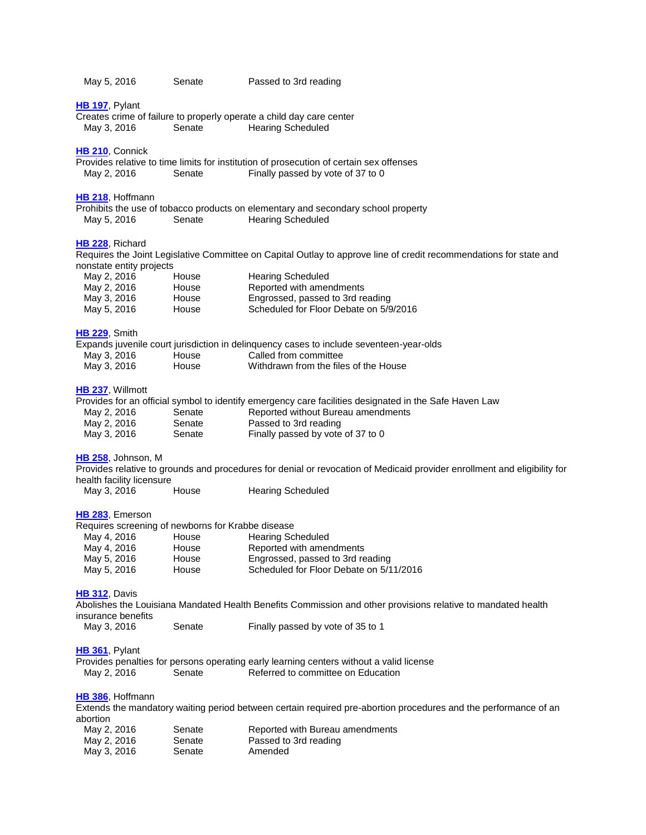| May 5, 2016                                                          | Senate                  | Passed to 3rd reading                                                                                                                                                 |
|----------------------------------------------------------------------|-------------------------|-----------------------------------------------------------------------------------------------------------------------------------------------------------------------|
| HB 197, Pylant<br>May 3, 2016                                        | Senate                  | Creates crime of failure to properly operate a child day care center<br><b>Hearing Scheduled</b>                                                                      |
| HB 210, Connick<br>May 2, 2016                                       | Senate                  | Provides relative to time limits for institution of prosecution of certain sex offenses<br>Finally passed by vote of 37 to 0                                          |
| HB 218, Hoffmann<br>May 5, 2016                                      | Senate                  | Prohibits the use of tobacco products on elementary and secondary school property<br><b>Hearing Scheduled</b>                                                         |
| HB 228, Richard<br>nonstate entity projects                          |                         | Requires the Joint Legislative Committee on Capital Outlay to approve line of credit recommendations for state and                                                    |
| May 2, 2016<br>May 2, 2016<br>May 3, 2016                            | House<br>House<br>House | <b>Hearing Scheduled</b><br>Reported with amendments<br>Engrossed, passed to 3rd reading                                                                              |
| May 5, 2016<br>HB 229, Smith                                         | House                   | Scheduled for Floor Debate on 5/9/2016<br>Expands juvenile court jurisdiction in delinquency cases to include seventeen-year-olds                                     |
| May 3, 2016<br>May 3, 2016                                           | House<br>House          | Called from committee<br>Withdrawn from the files of the House                                                                                                        |
| HB 237, Willmott<br>May 2, 2016<br>May 2, 2016                       | Senate<br>Senate        | Provides for an official symbol to identify emergency care facilities designated in the Safe Haven Law<br>Reported without Bureau amendments<br>Passed to 3rd reading |
| May 3, 2016<br>HB 258, Johnson, M                                    | Senate                  | Finally passed by vote of 37 to 0                                                                                                                                     |
| health facility licensure<br>May 3, 2016                             | House                   | Provides relative to grounds and procedures for denial or revocation of Medicaid provider enrollment and eligibility for<br><b>Hearing Scheduled</b>                  |
| HB 283, Emerson<br>Requires screening of newborns for Krabbe disease |                         |                                                                                                                                                                       |
| May 4, 2016                                                          | House                   | <b>Hearing Scheduled</b>                                                                                                                                              |
| May 4, 2016                                                          | House                   | Reported with amendments                                                                                                                                              |
| May 5, 2016<br>May 5, 2016                                           | House<br>House          | Engrossed, passed to 3rd reading<br>Scheduled for Floor Debate on 5/11/2016                                                                                           |
| <b>HB 312, Davis</b><br>insurance benefits                           |                         | Abolishes the Louisiana Mandated Health Benefits Commission and other provisions relative to mandated health                                                          |
| May 3, 2016                                                          | Senate                  | Finally passed by vote of 35 to 1                                                                                                                                     |
| HB 361, Pylant<br>May 2, 2016                                        | Senate                  | Provides penalties for persons operating early learning centers without a valid license<br>Referred to committee on Education                                         |
| HB 386, Hoffmann<br>abortion                                         |                         | Extends the mandatory waiting period between certain required pre-abortion procedures and the performance of an                                                       |
| May 2, 2016<br>May 2, 2016                                           | Senate<br>Senate        | Reported with Bureau amendments<br>Passed to 3rd reading                                                                                                              |

May 3, 2016 Senate Amended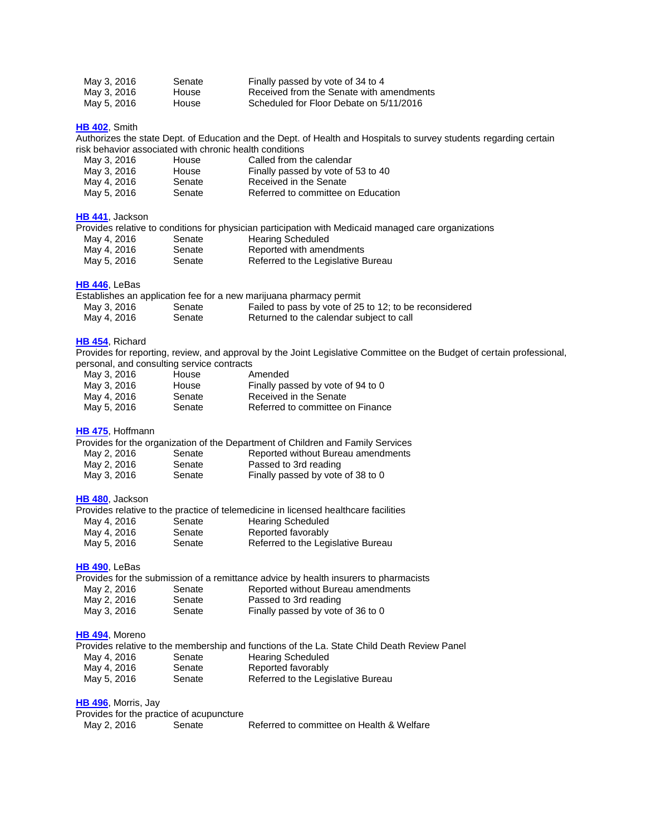| May 3, 2016 | Senate | Finally passed by vote of 34 to 4        |
|-------------|--------|------------------------------------------|
| May 3, 2016 | House  | Received from the Senate with amendments |
| May 5, 2016 | House  | Scheduled for Floor Debate on 5/11/2016  |

**HB [402](http://lanb.me/inst/2016rs/hb/04/16rs-hb402_engrossed.pdf)**, Smith

Authorizes the state Dept. of Education and the Dept. of Health and Hospitals to survey students regarding certain risk behavior associated with chronic health conditions

| May 3, 2016 | House  | Called from the calendar           |
|-------------|--------|------------------------------------|
| May 3, 2016 | House  | Finally passed by vote of 53 to 40 |
| May 4, 2016 | Senate | Received in the Senate             |
| May 5, 2016 | Senate | Referred to committee on Education |

#### **HB [441](http://lanb.me/inst/2016rs/hb/04/16rs-hb441_engrossed.pdf)**, Jackson

|             |        | Provides relative to conditions for physician participation with Medicaid managed care organizations |
|-------------|--------|------------------------------------------------------------------------------------------------------|
| May 4, 2016 | Senate | <b>Hearing Scheduled</b>                                                                             |
| May 4, 2016 | Senate | Reported with amendments                                                                             |
| May 5, 2016 | Senate | Referred to the Legislative Bureau                                                                   |

## **HB [446](http://lanb.me/inst/2016rs/hb/04/16rs-hb446_reengrossed.pdf)**, LeBas

|             |        | Establishes an application fee for a new marijuana pharmacy permit |
|-------------|--------|--------------------------------------------------------------------|
| May 3, 2016 | Senate | Failed to pass by vote of 25 to 12; to be reconsidered             |
| May 4, 2016 | Senate | Returned to the calendar subject to call                           |

### **HB [454](http://lanb.me/inst/2016rs/hb/04/16rs-hb454_reengrossed.pdf)**, Richard

Provides for reporting, review, and approval by the Joint Legislative Committee on the Budget of certain professional, personal, and consulting service contracts ersonal, and consulting service contracts<br>May 3, 2016 House Amended

| May 3, 2016 | House  | Amended                           |
|-------------|--------|-----------------------------------|
| May 3, 2016 | House  | Finally passed by vote of 94 to 0 |
| May 4, 2016 | Senate | Received in the Senate            |
| May 5, 2016 | Senate | Referred to committee on Finance  |

#### **HB [475](http://lanb.me/inst/2016rs/hb/04/16rs-hb475_enrolled.pdf)**, Hoffmann

|             |        | Provides for the organization of the Department of Children and Family Services |
|-------------|--------|---------------------------------------------------------------------------------|
| May 2, 2016 | Senate | Reported without Bureau amendments                                              |
| May 2, 2016 | Senate | Passed to 3rd reading                                                           |
| May 3, 2016 | Senate | Finally passed by vote of 38 to 0                                               |

#### **HB [480](http://lanb.me/inst/2016rs/hb/04/16rs-hb480_engrossed.pdf)**, Jackson

|             |        | Provides relative to the practice of telemedicine in licensed healthcare facilities |
|-------------|--------|-------------------------------------------------------------------------------------|
| May 4, 2016 | Senate | <b>Hearing Scheduled</b>                                                            |
| May 4, 2016 | Senate | Reported favorably                                                                  |
| May 5, 2016 | Senate | Referred to the Legislative Bureau                                                  |

# **HB [490](http://lanb.me/inst/2016rs/hb/04/16rs-hb490_enrolled.pdf)**, LeBas

|             |               | Provides for the submission of a remittance advice by health insurers to pharmacists |
|-------------|---------------|--------------------------------------------------------------------------------------|
| May 2, 2016 | Senate        | Reported without Bureau amendments                                                   |
|             | $\sim$ $\sim$ | .                                                                                    |

| May 2, 2016 | Senate | Passed to 3rd reading             |
|-------------|--------|-----------------------------------|
| May 3, 2016 | Senate | Finally passed by vote of 36 to 0 |

#### **HB [494](http://lanb.me/inst/2016rs/hb/04/16rs-hb494_reengrossed.pdf)**, Moreno

|             |        | Provides relative to the membership and functions of the La. State Child Death Review Panel |
|-------------|--------|---------------------------------------------------------------------------------------------|
| May 4, 2016 | Senate | Hearing Scheduled                                                                           |
| May 4, 2016 | Senate | Reported favorably                                                                          |
| May 5, 2016 | Senate | Referred to the Legislative Bureau                                                          |

#### **HB [496](http://lanb.me/inst/2016rs/hb/04/16rs-hb496_reengrossed.pdf)**, Morris, Jay

Provides for the practice of acupuncture May 2, 2016 Senate Referred to committee on Health & Welfare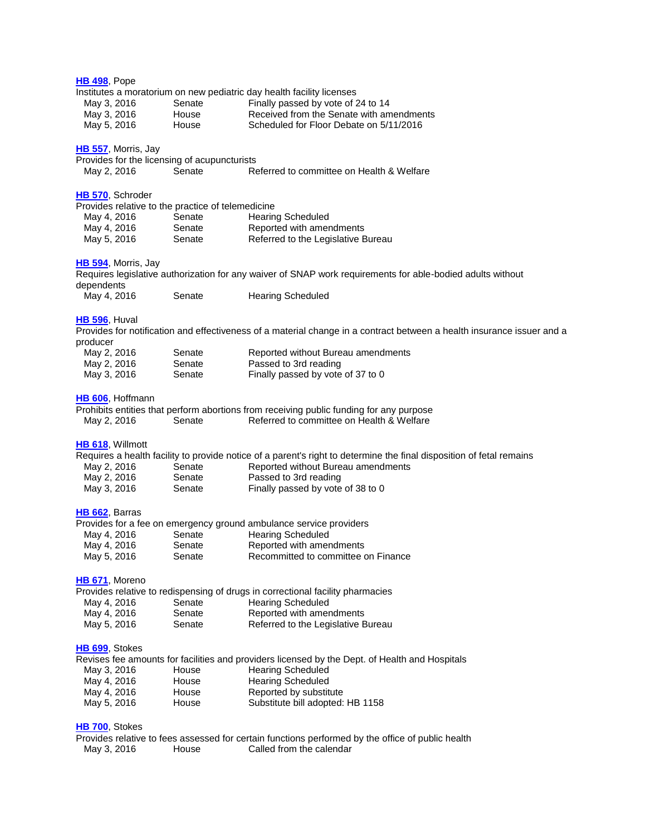| <b>HB 498, Pope</b>  |                            |                                                   |                                                                                                                        |
|----------------------|----------------------------|---------------------------------------------------|------------------------------------------------------------------------------------------------------------------------|
|                      |                            |                                                   | Institutes a moratorium on new pediatric day health facility licenses                                                  |
| May 3, 2016          |                            | Senate                                            | Finally passed by vote of 24 to 14                                                                                     |
| May 3, 2016          |                            | House                                             | Received from the Senate with amendments                                                                               |
| May 5, 2016          |                            | House                                             | Scheduled for Floor Debate on 5/11/2016                                                                                |
|                      | <b>HB 557, Morris, Jay</b> |                                                   |                                                                                                                        |
|                      |                            | Provides for the licensing of acupuncturists      |                                                                                                                        |
| May 2, 2016          |                            | Senate                                            | Referred to committee on Health & Welfare                                                                              |
|                      | HB 570, Schroder           |                                                   |                                                                                                                        |
|                      |                            | Provides relative to the practice of telemedicine |                                                                                                                        |
| May 4, 2016          |                            | Senate                                            | <b>Hearing Scheduled</b>                                                                                               |
| May 4, 2016          |                            | Senate                                            | Reported with amendments                                                                                               |
| May 5, 2016          |                            | Senate                                            | Referred to the Legislative Bureau                                                                                     |
|                      | HB 594, Morris, Jay        |                                                   |                                                                                                                        |
|                      |                            |                                                   | Requires legislative authorization for any waiver of SNAP work requirements for able-bodied adults without             |
| dependents           |                            |                                                   |                                                                                                                        |
| May 4, 2016          |                            | Senate                                            | <b>Hearing Scheduled</b>                                                                                               |
| <b>HB 596, Huval</b> |                            |                                                   |                                                                                                                        |
|                      |                            |                                                   | Provides for notification and effectiveness of a material change in a contract between a health insurance issuer and a |
| producer             |                            |                                                   |                                                                                                                        |
| May 2, 2016          |                            | Senate                                            | Reported without Bureau amendments                                                                                     |
| May 2, 2016          |                            | Senate                                            | Passed to 3rd reading                                                                                                  |
| May 3, 2016          |                            | Senate                                            | Finally passed by vote of 37 to 0                                                                                      |
|                      | HB 606, Hoffmann           |                                                   |                                                                                                                        |
|                      |                            |                                                   | Prohibits entities that perform abortions from receiving public funding for any purpose                                |
| May 2, 2016          |                            | Senate                                            | Referred to committee on Health & Welfare                                                                              |
| HB 618, Willmott     |                            |                                                   |                                                                                                                        |
|                      |                            |                                                   | Requires a health facility to provide notice of a parent's right to determine the final disposition of fetal remains   |
| May 2, 2016          |                            | Senate                                            | Reported without Bureau amendments                                                                                     |
| May 2, 2016          |                            | Senate                                            | Passed to 3rd reading                                                                                                  |
| May 3, 2016          |                            | Senate                                            | Finally passed by vote of 38 to 0                                                                                      |
| HB 662, Barras       |                            |                                                   |                                                                                                                        |
|                      |                            |                                                   | Provides for a fee on emergency ground ambulance service providers                                                     |
| May 4, 2016          |                            | Senate                                            | <b>Hearing Scheduled</b>                                                                                               |
| May 4, 2016          |                            | Senate                                            | Reported with amendments                                                                                               |
| May 5, 2016          |                            | Senate                                            | Recommitted to committee on Finance                                                                                    |
| HB 671, Moreno       |                            |                                                   |                                                                                                                        |
|                      |                            |                                                   | Provides relative to redispensing of drugs in correctional facility pharmacies                                         |
| May 4, 2016          |                            | Senate                                            | <b>Hearing Scheduled</b>                                                                                               |
| May 4, 2016          |                            | Senate                                            | Reported with amendments                                                                                               |
| May 5, 2016          |                            | Senate                                            | Referred to the Legislative Bureau                                                                                     |
| HB 699, Stokes       |                            |                                                   |                                                                                                                        |
|                      |                            |                                                   | Revises fee amounts for facilities and providers licensed by the Dept. of Health and Hospitals                         |
| May 3, 2016          |                            | House                                             | <b>Hearing Scheduled</b>                                                                                               |
| May 4, 2016          |                            | House                                             | <b>Hearing Scheduled</b>                                                                                               |
| May 4, 2016          |                            | House                                             | Reported by substitute                                                                                                 |
| May 5, 2016          |                            | House                                             | Substitute bill adopted: HB 1158                                                                                       |
| HB 700, Stokes       |                            |                                                   |                                                                                                                        |
|                      |                            |                                                   | Provides relative to fees assessed for certain functions performed by the office of public health                      |

May 3, 2016 House Called from the calendar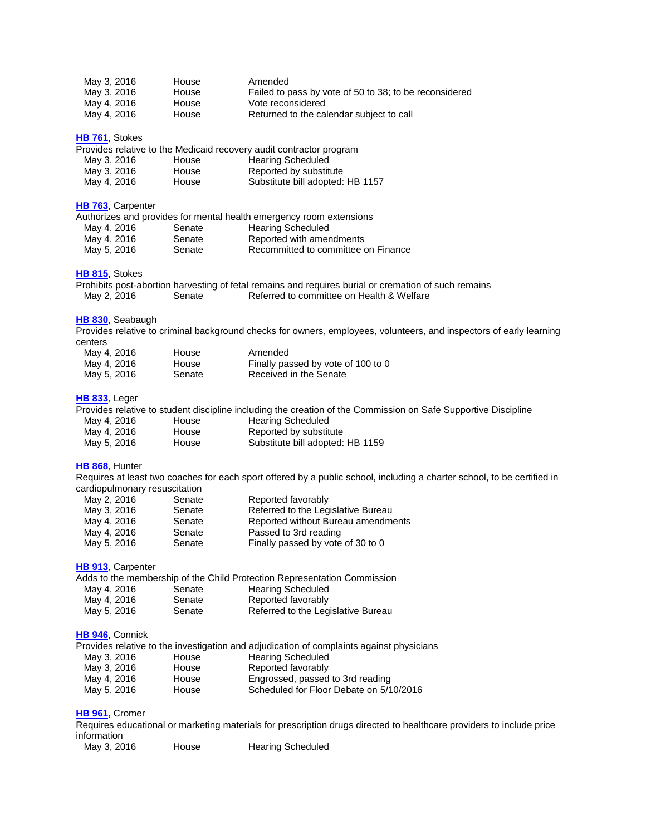| May 3, 2016 | <b>House</b> | Amended                                                |
|-------------|--------------|--------------------------------------------------------|
| May 3, 2016 | <b>House</b> | Failed to pass by vote of 50 to 38; to be reconsidered |
| May 4, 2016 | House        | Vote reconsidered                                      |
| May 4, 2016 | House        | Returned to the calendar subject to call               |

#### **HB [761](http://lanb.me/inst/2016rs/hb/07/16rs-hb761_original.pdf)**, Stokes

|             |       | Provides relative to the Medicaid recovery audit contractor program |
|-------------|-------|---------------------------------------------------------------------|
| May 3, 2016 | House | <b>Hearing Scheduled</b>                                            |
| May 3, 2016 | House | Reported by substitute                                              |
| May 4, 2016 | House | Substitute bill adopted: HB 1157                                    |

#### **HB [763](http://lanb.me/inst/2016rs/hb/07/16rs-hb763_reengrossed.pdf)**, Carpenter

|             |        | Authorizes and provides for mental health emergency room extensions |
|-------------|--------|---------------------------------------------------------------------|
| May 4, 2016 | Senate | Hearing Scheduled                                                   |
| May 4, 2016 | Senate | Reported with amendments                                            |
| May 5, 2016 | Senate | Recommitted to committee on Finance                                 |

#### **HB [815](http://lanb.me/inst/2016rs/hb/08/16rs-hb815_engrossed.pdf)**, Stokes

|             |        | Prohibits post-abortion harvesting of fetal remains and requires burial or cremation of such remains |                                           |  |  |
|-------------|--------|------------------------------------------------------------------------------------------------------|-------------------------------------------|--|--|
| May 2, 2016 | Senate |                                                                                                      | Referred to committee on Health & Welfare |  |  |

#### **HB [830](http://lanb.me/inst/2016rs/hb/08/16rs-hb830_reengrossed.pdf)**, Seabaugh

Provides relative to criminal background checks for owners, employees, volunteers, and inspectors of early learning centers<br>May 4, 2046 Amended

| May 4, 2016 | House  | Amended                            |
|-------------|--------|------------------------------------|
| May 4, 2016 | House  | Finally passed by vote of 100 to 0 |
| May 5, 2016 | Senate | Received in the Senate             |

#### **HB [833](http://lanb.me/inst/2016rs/hb/08/16rs-hb833_original.pdf)**, Leger

Provides relative to student discipline including the creation of the Commission on Safe Supportive Discipline

| May 4, 2016 | House | <b>Hearing Scheduled</b>         |
|-------------|-------|----------------------------------|
| May 4, 2016 | House | Reported by substitute           |
| May 5, 2016 | House | Substitute bill adopted: HB 1159 |

### **HB [868](http://lanb.me/inst/2016rs/hb/08/16rs-hb868_enrolled.pdf)**, Hunter

Requires at least two coaches for each sport offered by a public school, including a charter school, to be certified in cardiopulmonary resuscitation

| May 2, 2016 | Senate | Reported favorably                 |
|-------------|--------|------------------------------------|
| May 3, 2016 | Senate | Referred to the Legislative Bureau |
| May 4, 2016 | Senate | Reported without Bureau amendments |
| May 4, 2016 | Senate | Passed to 3rd reading              |
| May 5, 2016 | Senate | Finally passed by vote of 30 to 0  |

#### **HB [913](http://lanb.me/inst/2016rs/hb/09/16rs-hb913_engrossed.pdf)**, Carpenter

| Adds to the membership of the Child Protection Representation Commission |        |                                    |  |  |
|--------------------------------------------------------------------------|--------|------------------------------------|--|--|
| May 4, 2016                                                              | Senate | <b>Hearing Scheduled</b>           |  |  |
| May 4, 2016                                                              | Senate | Reported favorably                 |  |  |
| May 5, 2016                                                              | Senate | Referred to the Legislative Bureau |  |  |

#### **HB [946](http://lanb.me/inst/2016rs/hb/09/16rs-hb946_engrossed.pdf)**, Connick

|             |       | Provides relative to the investigation and adjudication of complaints against physicians |
|-------------|-------|------------------------------------------------------------------------------------------|
| May 3, 2016 | House | <b>Hearing Scheduled</b>                                                                 |
| May 3, 2016 | House | Reported favorably                                                                       |
| May 4, 2016 | House | Engrossed, passed to 3rd reading                                                         |
| May 5, 2016 | House | Scheduled for Floor Debate on 5/10/2016                                                  |

# **HB [961](http://lanb.me/inst/2016rs/hb/09/16rs-hb961_original.pdf)**, Cromer

Requires educational or marketing materials for prescription drugs directed to healthcare providers to include price information

| May 3, 2016 | House | <b>Hearing Scheduled</b> |
|-------------|-------|--------------------------|
|-------------|-------|--------------------------|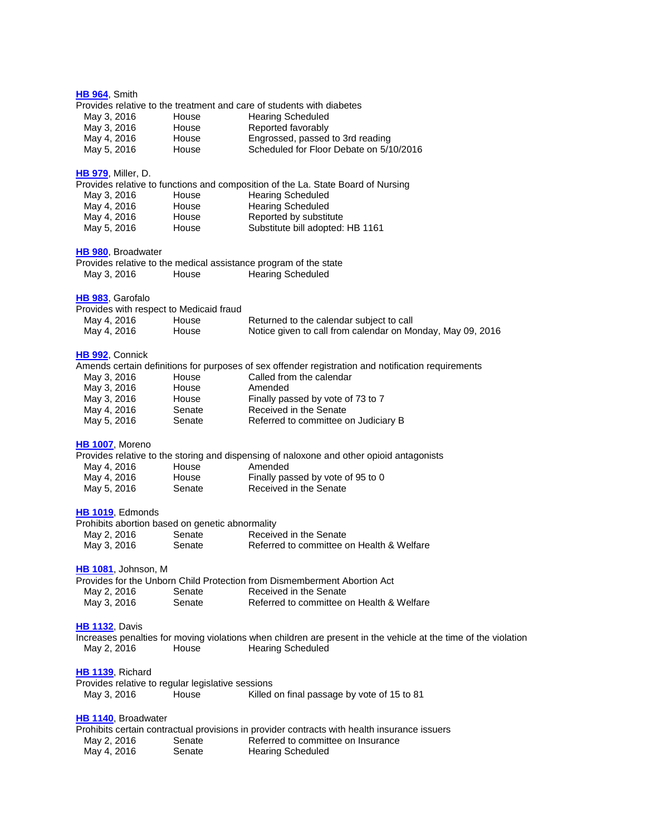| HB 964, Smith              |                             |                                                   |                                                                                                                 |
|----------------------------|-----------------------------|---------------------------------------------------|-----------------------------------------------------------------------------------------------------------------|
|                            |                             |                                                   | Provides relative to the treatment and care of students with diabetes                                           |
| May 3, 2016<br>May 3, 2016 |                             | House<br>House                                    | <b>Hearing Scheduled</b><br>Reported favorably                                                                  |
| May 4, 2016                |                             | House                                             | Engrossed, passed to 3rd reading                                                                                |
| May 5, 2016                |                             | House                                             | Scheduled for Floor Debate on 5/10/2016                                                                         |
|                            |                             |                                                   |                                                                                                                 |
|                            | <b>HB 979, Miller, D.</b>   |                                                   |                                                                                                                 |
|                            |                             |                                                   | Provides relative to functions and composition of the La. State Board of Nursing                                |
| May 3, 2016<br>May 4, 2016 |                             | House<br>House                                    | <b>Hearing Scheduled</b><br><b>Hearing Scheduled</b>                                                            |
| May 4, 2016                |                             | House                                             | Reported by substitute                                                                                          |
| May 5, 2016                |                             | House                                             | Substitute bill adopted: HB 1161                                                                                |
|                            | HB 980, Broadwater          |                                                   |                                                                                                                 |
|                            |                             |                                                   | Provides relative to the medical assistance program of the state                                                |
| May 3, 2016                |                             | House                                             | <b>Hearing Scheduled</b>                                                                                        |
|                            | HB 983, Garofalo            |                                                   |                                                                                                                 |
|                            |                             | Provides with respect to Medicaid fraud           |                                                                                                                 |
| May 4, 2016                |                             | House                                             | Returned to the calendar subject to call                                                                        |
| May 4, 2016                |                             | House                                             | Notice given to call from calendar on Monday, May 09, 2016                                                      |
| HB 992, Connick            |                             |                                                   |                                                                                                                 |
|                            |                             |                                                   | Amends certain definitions for purposes of sex offender registration and notification requirements              |
| May 3, 2016                |                             | House                                             | Called from the calendar                                                                                        |
| May 3, 2016                |                             | House                                             | Amended                                                                                                         |
| May 3, 2016<br>May 4, 2016 |                             | House<br>Senate                                   | Finally passed by vote of 73 to 7<br>Received in the Senate                                                     |
| May 5, 2016                |                             | Senate                                            | Referred to committee on Judiciary B                                                                            |
|                            | HB 1007, Moreno             |                                                   |                                                                                                                 |
|                            |                             |                                                   | Provides relative to the storing and dispensing of naloxone and other opioid antagonists                        |
| May 4, 2016                |                             | House                                             | Amended                                                                                                         |
| May 4, 2016                |                             | House                                             | Finally passed by vote of 95 to 0                                                                               |
| May 5, 2016                |                             | Senate                                            | Received in the Senate                                                                                          |
|                            | HB 1019, Edmonds            |                                                   |                                                                                                                 |
|                            |                             | Prohibits abortion based on genetic abnormality   |                                                                                                                 |
| May 2, 2016                |                             | Senate                                            | Received in the Senate                                                                                          |
| May 3, 2016                |                             | Senate                                            | Referred to committee on Health & Welfare                                                                       |
|                            | <b>HB 1081</b> , Johnson, M |                                                   |                                                                                                                 |
|                            |                             |                                                   | Provides for the Unborn Child Protection from Dismemberment Abortion Act                                        |
| May 2, 2016                |                             | Senate                                            | Received in the Senate                                                                                          |
| May 3, 2016                |                             | Senate                                            | Referred to committee on Health & Welfare                                                                       |
| <b>HB 1132, Davis</b>      |                             |                                                   |                                                                                                                 |
|                            |                             |                                                   | Increases penalties for moving violations when children are present in the vehicle at the time of the violation |
| May 2, 2016                |                             | House                                             | <b>Hearing Scheduled</b>                                                                                        |
|                            | HB 1139, Richard            |                                                   |                                                                                                                 |
|                            |                             | Provides relative to regular legislative sessions |                                                                                                                 |
| May 3, 2016                |                             | House                                             | Killed on final passage by vote of 15 to 81                                                                     |
|                            | HB 1140, Broadwater         |                                                   |                                                                                                                 |
|                            |                             |                                                   | Prohibits certain contractual provisions in provider contracts with health insurance issuers                    |
| May 2, 2016                |                             | Senate                                            | Referred to committee on Insurance                                                                              |
| May 4, 2016                |                             | Senate                                            | <b>Hearing Scheduled</b>                                                                                        |
|                            |                             |                                                   |                                                                                                                 |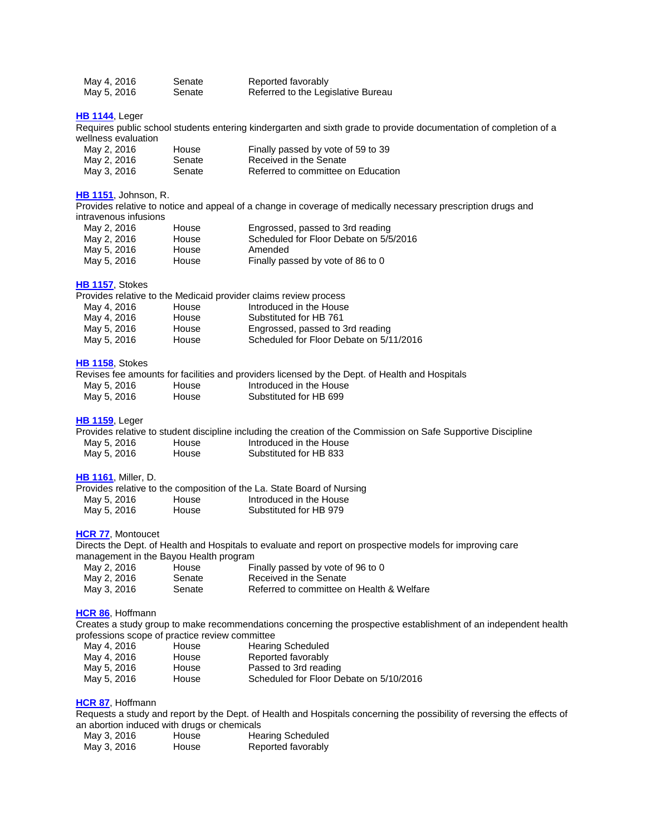| May 4, 2016 | Senate | Reported favorably                 |
|-------------|--------|------------------------------------|
| May 5, 2016 | Senate | Referred to the Legislative Bureau |

#### **HB [1144](http://lanb.me/inst/2016rs/hb/11/16rs-hb1144_engrossed.pdf)**, Leger

Requires public school students entering kindergarten and sixth grade to provide documentation of completion of a wellness evaluation

| May 2, 2016 | House  | Finally passed by vote of 59 to 39 |
|-------------|--------|------------------------------------|
| May 2, 2016 | Senate | Received in the Senate             |
| May 3, 2016 | Senate | Referred to committee on Education |

# **HB [1151](http://lanb.me/inst/2016rs/hb/11/16rs-hb1151_engrossed.pdf)**, Johnson, R.

Provides relative to notice and appeal of a change in coverage of medically necessary prescription drugs and intravenous infusions

| May 2, 2016 | House | Engrossed, passed to 3rd reading       |
|-------------|-------|----------------------------------------|
| May 2, 2016 | House | Scheduled for Floor Debate on 5/5/2016 |
| May 5, 2016 | House | Amended                                |
| May 5, 2016 | House | Finally passed by vote of 86 to 0      |

# **HB [1157](http://lanb.me/inst/2016rs/hb/11/16rs-hb1157_engrossed.pdf)**, Stokes

| Provides relative to the Medicaid provider claims review process |  |  |  |
|------------------------------------------------------------------|--|--|--|
|------------------------------------------------------------------|--|--|--|

| House | Introduced in the House                 |
|-------|-----------------------------------------|
| House | Substituted for HB 761                  |
| House | Engrossed, passed to 3rd reading        |
| House | Scheduled for Floor Debate on 5/11/2016 |
|       |                                         |

#### **HB [1158](http://lanb.me/inst/2016rs/hb/11/16rs-hb1158_engrossed.pdf)**, Stokes

|             |              | Revises fee amounts for facilities and providers licensed by the Dept. of Health and Hospitals |  |
|-------------|--------------|------------------------------------------------------------------------------------------------|--|
| May 5, 2016 | House        | Introduced in the House                                                                        |  |
| May 5, 2016 | <b>House</b> | Substituted for HB 699                                                                         |  |

#### **HB [1159](http://lanb.me/inst/2016rs/hb/11/16rs-hb1159_engrossed.pdf)**, Leger

|             |       |                         | Provides relative to student discipline including the creation of the Commission on Safe Supportive Discipline |
|-------------|-------|-------------------------|----------------------------------------------------------------------------------------------------------------|
| May 5, 2016 | House | Introduced in the House |                                                                                                                |
| May 5, 2016 | House | Substituted for HB 833  |                                                                                                                |

#### **HB [1161](http://lanb.me/inst/2016rs/hb/11/16rs-hb1161_engrossed.pdf)**, Miller, D.

|       | Provides relative to the composition of the La. State Board of Nursing |
|-------|------------------------------------------------------------------------|
| House | Introduced in the House                                                |
| House | Substituted for HB 979                                                 |
|       |                                                                        |

# **[HCR](http://lanb.me/inst/2016rs/hcr/00/16rs-hcr77_engrossed.pdf) 77**, Montoucet

Directs the Dept. of Health and Hospitals to evaluate and report on prospective models for improving care management in the Bayou Health program

| May 2, 2016 | House  | Finally passed by vote of 96 to 0         |
|-------------|--------|-------------------------------------------|
| May 2, 2016 | Senate | Received in the Senate                    |
| May 3, 2016 | Senate | Referred to committee on Health & Welfare |

#### **[HCR](http://lanb.me/inst/2016rs/hcr/00/16rs-hcr86_engrossed.pdf) 86**, Hoffmann

Creates a study group to make recommendations concerning the prospective establishment of an independent health professions scope of practice review committee

| May 4, 2016 | House | <b>Hearing Scheduled</b>                |
|-------------|-------|-----------------------------------------|
| May 4, 2016 | House | Reported favorably                      |
| May 5, 2016 | House | Passed to 3rd reading                   |
| May 5, 2016 | House | Scheduled for Floor Debate on 5/10/2016 |

### **[HCR](http://lanb.me/inst/2016rs/hcr/00/16rs-hcr87_engrossed.pdf) 87**, Hoffmann

Requests a study and report by the Dept. of Health and Hospitals concerning the possibility of reversing the effects of an abortion induced with drugs or chemicals

| May 3, 2016 | House | <b>Hearing Scheduled</b> |
|-------------|-------|--------------------------|
| May 3, 2016 | House | Reported favorably       |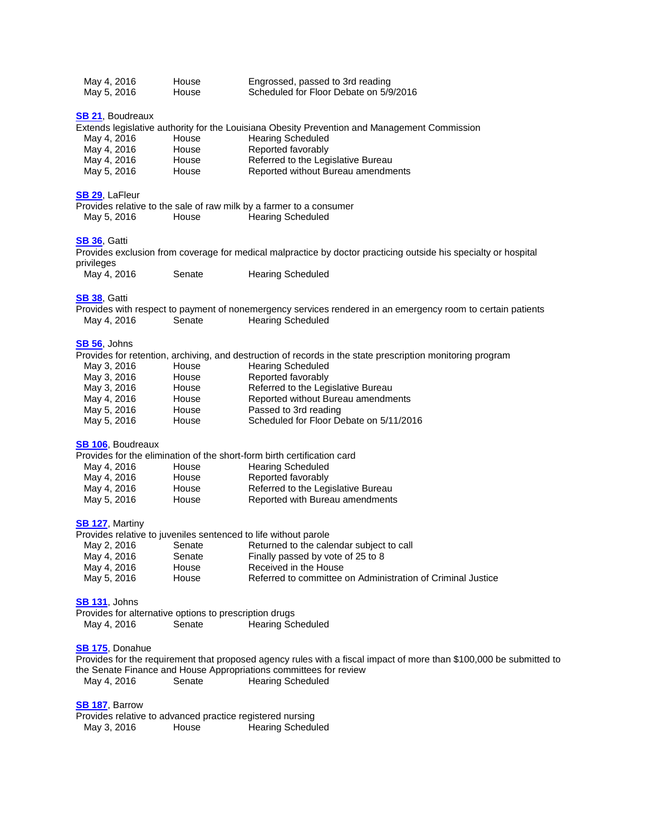| May 4, 2016 | House | Engrossed, passed to 3rd reading       |
|-------------|-------|----------------------------------------|
| May 5, 2016 | House | Scheduled for Floor Debate on 5/9/2016 |

#### **[SB](http://lanb.me/inst/2016rs/sb/00/16rs-sb21_engrossed.pdf) 21**, Boudreaux

|  |  |  | Extends legislative authority for the Louisiana Obesity Prevention and Management Commission |  |
|--|--|--|----------------------------------------------------------------------------------------------|--|
|--|--|--|----------------------------------------------------------------------------------------------|--|

| May 4, 2016                       | House   | <b>Hearing Scheduled</b>                  |
|-----------------------------------|---------|-------------------------------------------|
| May 4, 2016                       | House   | Reported favorably                        |
| May 4, 2016                       | House   | Referred to the Legislative Bureau        |
| $M_{\odot}$ , $E_{\odot}$ 001 $E$ | ممبرمها | <b>Donortod without Puroqu amondmonto</b> |

#### May 5, 2016 House Reported without Bureau amendments

#### **[SB](http://lanb.me/inst/2016rs/sb/00/16rs-sb29_reengrossed.pdf) 29**, LaFleur

|             |       | Provides relative to the sale of raw milk by a farmer to a consumer |
|-------------|-------|---------------------------------------------------------------------|
| May 5, 2016 | House | <b>Hearing Scheduled</b>                                            |

#### **[SB](http://lanb.me/inst/2016rs/sb/00/16rs-sb36_original.pdf) 36**, Gatti

Provides exclusion from coverage for medical malpractice by doctor practicing outside his specialty or hospital privileges

| May 4, 2016 | Senate | <b>Hearing Scheduled</b> |
|-------------|--------|--------------------------|
|             |        |                          |

#### **[SB](http://lanb.me/inst/2016rs/sb/00/16rs-sb38_original.pdf) 38**, Gatti

|             |        | Provides with respect to payment of nonemergency services rendered in an emergency room to certain patients |
|-------------|--------|-------------------------------------------------------------------------------------------------------------|
| May 4, 2016 | Senate | Hearing Scheduled                                                                                           |

## **[SB](http://lanb.me/inst/2016rs/sb/00/16rs-sb56_engrossed.pdf) 56**, Johns

|             |       | Provides for retention, archiving, and destruction of records in the state prescription monitoring program |
|-------------|-------|------------------------------------------------------------------------------------------------------------|
| May 3, 2016 | House | <b>Hearing Scheduled</b>                                                                                   |
| May 3, 2016 | House | Reported favorably                                                                                         |
| May 3, 2016 | House | Referred to the Legislative Bureau                                                                         |
| May 4, 2016 | House | Reported without Bureau amendments                                                                         |
| May 5, 2016 | House | Passed to 3rd reading                                                                                      |
| May 5, 2016 | House | Scheduled for Floor Debate on 5/11/2016                                                                    |

#### **SB [106](http://lanb.me/inst/2016rs/sb/01/16rs-sb106_reengrossed.pdf)**, Boudreaux

|             |       | Provides for the elimination of the short-form birth certification card |
|-------------|-------|-------------------------------------------------------------------------|
| May 4, 2016 | House | <b>Hearing Scheduled</b>                                                |
| May 4, 2016 | House | Reported favorably                                                      |
| May 4, 2016 | House | Referred to the Legislative Bureau                                      |
| May 5, 2016 | House | Reported with Bureau amendments                                         |

#### **SB [127](http://lanb.me/inst/2016rs/sb/01/16rs-sb127_engrossed.pdf)**, Martiny

|             |        | Provides relative to juveniles sentenced to life without parole |
|-------------|--------|-----------------------------------------------------------------|
| May 2, 2016 | Senate | Returned to the calendar subject to call                        |
| May 4, 2016 | Senate | Finally passed by vote of 25 to 8                               |
| May 4, 2016 | House  | Received in the House                                           |
| May 5, 2016 | House  | Referred to committee on Administration of Criminal Justice     |

#### **SB [131](http://lanb.me/inst/2016rs/sb/01/16rs-sb131_original.pdf)**, Johns

Provides for alternative options to prescription drugs Senate Hearing Scheduled

#### **SB [175](http://lanb.me/inst/2016rs/sb/01/16rs-sb175_original.pdf)**, Donahue

Provides for the requirement that proposed agency rules with a fiscal impact of more than \$100,000 be submitted to the Senate Finance and House Appropriations committees for review May 4, 2016 Senate Hearing Scheduled

#### **SB [187](http://lanb.me/inst/2016rs/sb/01/16rs-sb187_reengrossed.pdf)**, Barrow

Provides relative to advanced practice registered nursing<br>May 3, 2016 Hearing Schedu House Hearing Scheduled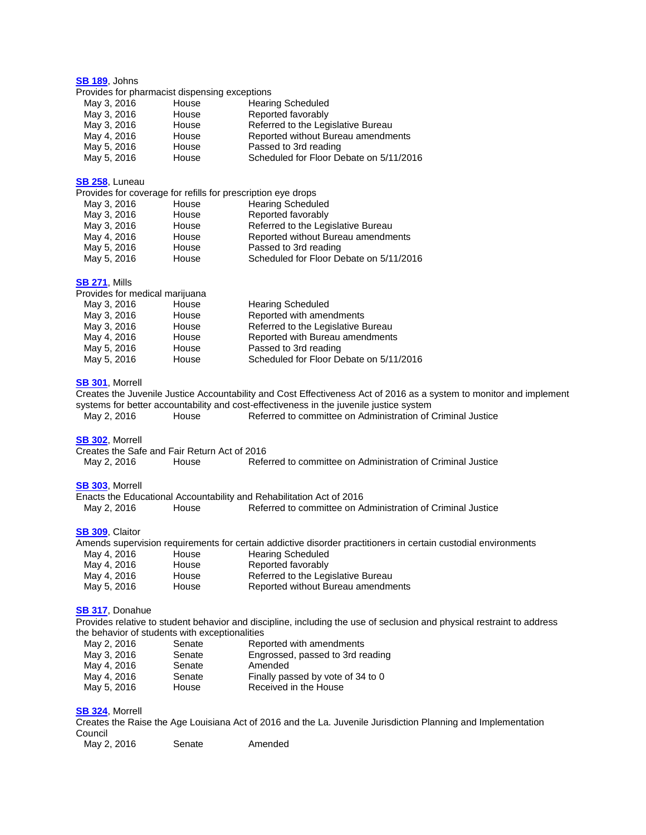**SB [189](http://lanb.me/inst/2016rs/sb/01/16rs-sb189_reengrossed.pdf)**, Johns Provides for pharmacist dispensing exceptions May 3, 2016 House Hearing Scheduled May 3, 2016 House Reported favorably May 3, 2016 House Referred to the Legislative Bureau May 4, 2016 House Reported without Bureau amendments May 5, 2016 House Passed to 3rd reading May 5, 2016 House Scheduled for Floor Debate on 5/11/2016 **SB [258](http://lanb.me/inst/2016rs/sb/02/16rs-sb258_reengrossed.pdf)**, Luneau Provides for coverage for refills for prescription eye drops May 3, 2016 House Hearing Scheduled<br>
May 3, 2016 House Reported favorably May 3, 2016 – House – Reported favorably<br>May 3, 2016 – House – Referred to the Leg House **3. 2016 Referred to the Legislative Bureau** May 4, 2016 House Reported without Bureau amendments May 5, 2016 House Passed to 3rd reading May 5, 2016 House Scheduled for Floor Debate on 5/11/2016 **SB [271](http://lanb.me/inst/2016rs/sb/02/16rs-sb271_reengrossed.pdf)**, Mills Provides for medical marijuana May 3, 2016 House Hearing Scheduled

May 3, 2016 House Reported with amendments May 3, 2016 House Referred to the Legislative Bureau May 4, 2016 House Reported with Bureau amendments May 5, 2016 House Passed to 3rd reading May 5, 2016 House Scheduled for Floor Debate on 5/11/2016

#### **SB [301](http://lanb.me/inst/2016rs/sb/03/16rs-sb301_re-reengrossed.pdf)**, Morrell

Creates the Juvenile Justice Accountability and Cost Effectiveness Act of 2016 as a system to monitor and implement systems for better accountability and cost-effectiveness in the juvenile justice system May 2, 2016 House Referred to committee on Administration of Criminal Justice **SB [302](http://lanb.me/inst/2016rs/sb/03/16rs-sb302_re-reengrossed.pdf)**, Morrell Creates the Safe and Fair Return Act of 2016 May 2, 2016 House Referred to committee on Administration of Criminal Justice **SB [303](http://lanb.me/inst/2016rs/sb/03/16rs-sb303_re-reengrossed.pdf)**, Morrell Enacts the Educational Accountability and Rehabilitation Act of 2016 May 2, 2016 House Referred to committee on Administration of Criminal Justice **SB [309](http://lanb.me/inst/2016rs/sb/03/16rs-sb309_engrossed.pdf)**, Claitor Amends supervision requirements for certain addictive disorder practitioners in certain custodial environments May 4, 2016 House Hearing Scheduled May 4, 2016 House Reported favorably May 4, 2016 House Referred to the Legislative Bureau May 5, 2016 House Reported without Bureau amendments **SB [317](http://lanb.me/inst/2016rs/sb/03/16rs-sb317_reengrossed.pdf)**, Donahue Provides relative to student behavior and discipline, including the use of seclusion and physical restraint to address the behavior of students with exceptionalities

| May 2, 2016 | Senate | Reported with amendments          |
|-------------|--------|-----------------------------------|
| May 3, 2016 | Senate | Engrossed, passed to 3rd reading  |
| May 4, 2016 | Senate | Amended                           |
| May 4, 2016 | Senate | Finally passed by vote of 34 to 0 |
| May 5, 2016 | House  | Received in the House             |
|             |        |                                   |

### **SB [324](http://lanb.me/inst/2016rs/sb/03/16rs-sb324_reengrossed.pdf)**, Morrell

Creates the Raise the Age Louisiana Act of 2016 and the La. Juvenile Jurisdiction Planning and Implementation Council

| Amended<br>May 2, 2016<br>Senate |
|----------------------------------|
|----------------------------------|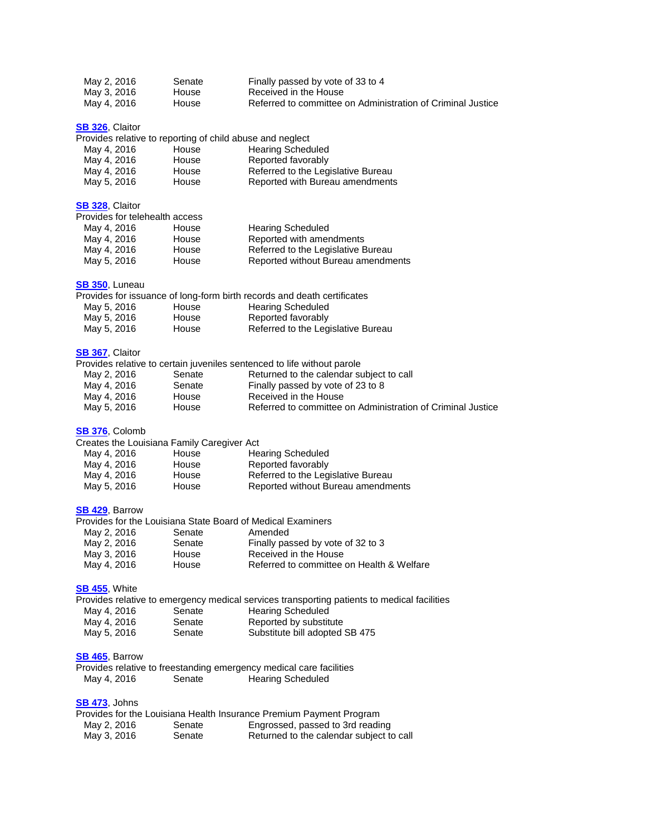| May 2, 2016 | Senate | Finally passed by vote of 33 to 4                           |
|-------------|--------|-------------------------------------------------------------|
| May 3, 2016 | House  | Received in the House                                       |
| May 4, 2016 | House  | Referred to committee on Administration of Criminal Justice |

**SB [326](http://lanb.me/inst/2016rs/sb/03/16rs-sb326_reengrossed.pdf)**, Claitor

Provides relative to reporting of child abuse and neglect

| May 4, 2016 | House | <b>Hearing Scheduled</b>           |
|-------------|-------|------------------------------------|
| May 4, 2016 | House | Reported favorably                 |
| May 4, 2016 | House | Referred to the Legislative Bureau |
| May 5, 2016 | House | Reported with Bureau amendments    |

#### **SB [328](http://lanb.me/inst/2016rs/sb/03/16rs-sb328_reengrossed.pdf)**, Claitor

| Provides for telehealth access |       |                                    |
|--------------------------------|-------|------------------------------------|
| May 4, 2016                    | House | <b>Hearing Scheduled</b>           |
| May 4, 2016                    | House | Reported with amendments           |
| May 4, 2016                    | House | Referred to the Legislative Bureau |
| May 5, 2016                    | House | Reported without Bureau amendments |

#### **SB [350](http://lanb.me/inst/2016rs/sb/03/16rs-sb350_engrossed.pdf)**, Luneau

|             |       | Provides for issuance of long-form birth records and death certificates |
|-------------|-------|-------------------------------------------------------------------------|
| May 5, 2016 | House | <b>Hearing Scheduled</b>                                                |
| May 5, 2016 | House | Reported favorably                                                      |
| May 5, 2016 | House | Referred to the Legislative Bureau                                      |

#### **SB [367](http://lanb.me/inst/2016rs/sb/03/16rs-sb367_engrossed.pdf)**, Claitor

| Provides relative to certain juveniles sentenced to life without parole |        |                                                             |  |  |  |  |
|-------------------------------------------------------------------------|--------|-------------------------------------------------------------|--|--|--|--|
| May 2, 2016                                                             | Senate | Returned to the calendar subject to call                    |  |  |  |  |
| May 4, 2016                                                             | Senate | Finally passed by vote of 23 to 8                           |  |  |  |  |
| May 4, 2016                                                             | House  | Received in the House                                       |  |  |  |  |
| May 5, 2016                                                             | House  | Referred to committee on Administration of Criminal Justice |  |  |  |  |

#### **SB [376](http://lanb.me/inst/2016rs/sb/03/16rs-sb376_reengrossed.pdf)**, Colomb

| Creates the Louisiana Family Caregiver Act |                                    |  |  |  |  |  |
|--------------------------------------------|------------------------------------|--|--|--|--|--|
| House                                      | <b>Hearing Scheduled</b>           |  |  |  |  |  |
| House                                      | Reported favorably                 |  |  |  |  |  |
| House                                      | Referred to the Legislative Bureau |  |  |  |  |  |
| House                                      | Reported without Bureau amendments |  |  |  |  |  |
|                                            |                                    |  |  |  |  |  |

#### **SB [429](http://lanb.me/inst/2016rs/sb/04/16rs-sb429_reengrossed.pdf)**, Barrow

|        | Provides for the Louisiana State Board of Medical Examiners |
|--------|-------------------------------------------------------------|
| Senate | Amended                                                     |
| Senate | Finally passed by vote of 32 to 3                           |
| House  | Received in the House                                       |
| House  | Referred to committee on Health & Welfare                   |
|        |                                                             |

# **SB [455](http://lanb.me/inst/2016rs/sb/04/16rs-sb455_original.pdf)**, White

|             |        | Provides relative to emergency medical services transporting patients to medical facilities |
|-------------|--------|---------------------------------------------------------------------------------------------|
| May 4, 2016 | Senate | Hearing Scheduled                                                                           |
| May 4, 2016 | Senate | Reported by substitute                                                                      |
| May 5, 2016 | Senate | Substitute bill adopted SB 475                                                              |

# **SB [465](http://lanb.me/inst/2016rs/sb/04/16rs-sb465_original.pdf)**, Barrow

|             |        |                          | Provides relative to freestanding emergency medical care facilities |
|-------------|--------|--------------------------|---------------------------------------------------------------------|
| May 4, 2016 | Senate | <b>Hearing Scheduled</b> |                                                                     |

# **SB [473](http://lanb.me/inst/2016rs/sb/04/16rs-sb473_engrossed.pdf)**, Johns

|             |        | Provides for the Louisiana Health Insurance Premium Payment Program |
|-------------|--------|---------------------------------------------------------------------|
| May 2, 2016 | Senate | Engrossed, passed to 3rd reading                                    |
| May 3, 2016 | Senate | Returned to the calendar subject to call                            |